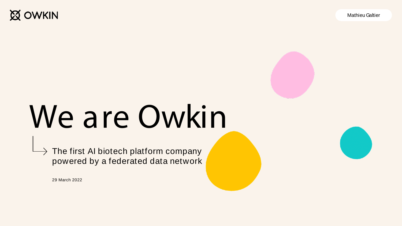**Q OWKIN** 

Mathieu Galtier



## We are Owkin

 $\rightarrow$  The first AI biotech platform company powered by a federated data network

29 March 2022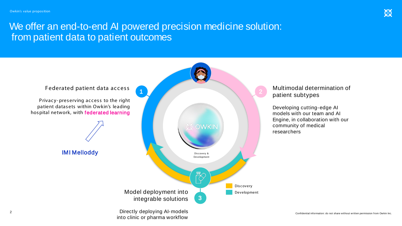### We offer an end-to-end AI powered precision medicine solution: from patient data to patient outcomes

into clinic or pharma workflow

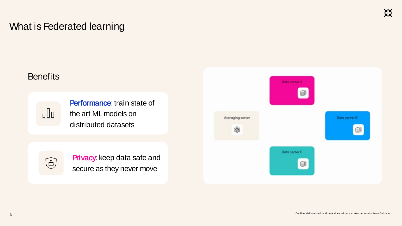## What is Federated learning

#### **Benefits**



Performance: train state of the art ML models on distributed datasets



Privacy Privacy: keep data safe and secure as they never move

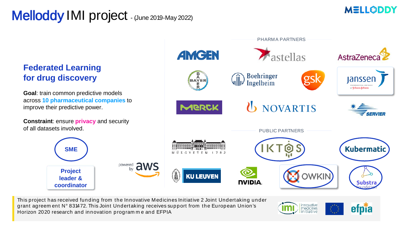## Melloddy IMI project - (June 2019-May 2022)



#### **Federated Learning for drug discovery**

**Goal**: train common predictive models across **10 pharmaceutical companies** to improve their predictive power.

**Constraint**: ensure **privacy** and security of all datasets involved.

**SME**

**Project leader & coordinator**



innovative<br>medicines<br>initiative

efpïa

This project has received funding from the Innovative Medicines Initiative 2 Joint Undertaking under grant agreem ent N° 831472. This Joint Undertaking receives support from the European Union's Horizon 2020 research and innovation program m e and EFPIA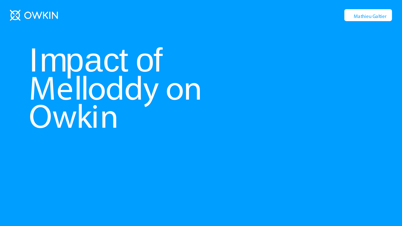



Impact of Melloddy on Owkin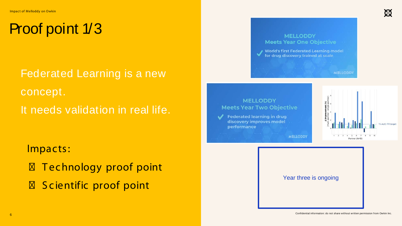## Proof point 1/3

Federated Learning is a new concept. It needs validation in real life.

Impacts:

Technology proof point Scientific proof point

#### **MELLODDY Meets Year One Objective**

World's first Federated Learning model<br>for drug discovery trained at scale

#### **MELLODDY Meets Year Two Objective**

**Federated learning in drug** discovery improves model performance



MELLODDY

**MELLODDY** 

Year three is ongoing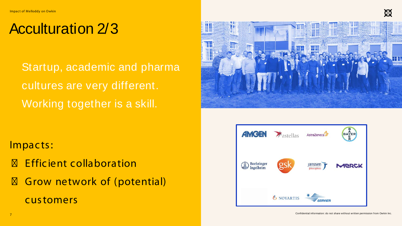## Acculturation 2/3

Startup, academic and pharma cultures are very different. Working together is a skill.

Impacts:

E ffic ient c ollaboration Grow network of (potential) customers



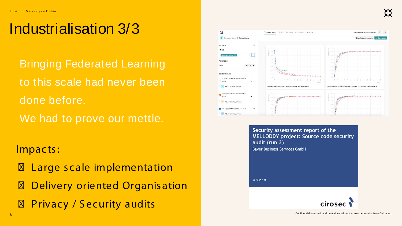## Industrialisation 3/3

**Bringing Federated Learning** to this scale had never been done before. We had to prove our mettle.

Impacts:

Large scale implementation Delivery oriented Organis ation Privacy / Security audits



Security assessment report of the MELLODDY project: Source code security audit (run 3) **Bayer Business Services GmbH** Version 1.0

 $\mathfrak{B}$